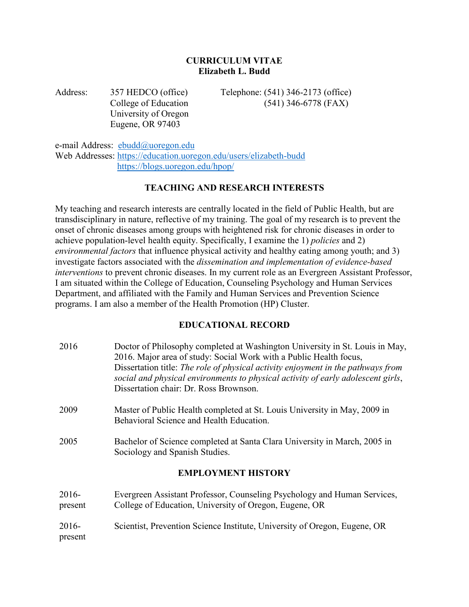#### **CURRICULUM VITAE Elizabeth L. Budd**

University of Oregon Eugene, OR 97403

Address: 357 HEDCO (office) Telephone: (541) 346-2173 (office) College of Education (541) 346-6778 (FAX)

e-mail Address: [ebudd@uoregon.edu](mailto:ebudd@uoregon.edu) Web Addresses:<https://education.uoregon.edu/users/elizabeth-budd> <https://blogs.uoregon.edu/hpop/>

#### **TEACHING AND RESEARCH INTERESTS**

My teaching and research interests are centrally located in the field of Public Health, but are transdisciplinary in nature, reflective of my training. The goal of my research is to prevent the onset of chronic diseases among groups with heightened risk for chronic diseases in order to achieve population-level health equity. Specifically, I examine the 1) *policies* and 2) *environmental factors* that influence physical activity and healthy eating among youth; and 3) investigate factors associated with the *dissemination and implementation of evidence-based interventions* to prevent chronic diseases. In my current role as an Evergreen Assistant Professor, I am situated within the College of Education, Counseling Psychology and Human Services Department, and affiliated with the Family and Human Services and Prevention Science programs. I am also a member of the Health Promotion (HP) Cluster.

## **EDUCATIONAL RECORD**

| 2016               | Doctor of Philosophy completed at Washington University in St. Louis in May,<br>2016. Major area of study: Social Work with a Public Health focus,<br>Dissertation title: The role of physical activity enjoyment in the pathways from<br>social and physical environments to physical activity of early adolescent girls,<br>Dissertation chair: Dr. Ross Brownson. |
|--------------------|----------------------------------------------------------------------------------------------------------------------------------------------------------------------------------------------------------------------------------------------------------------------------------------------------------------------------------------------------------------------|
| 2009               | Master of Public Health completed at St. Louis University in May, 2009 in<br>Behavioral Science and Health Education.                                                                                                                                                                                                                                                |
| 2005               | Bachelor of Science completed at Santa Clara University in March, 2005 in<br>Sociology and Spanish Studies.                                                                                                                                                                                                                                                          |
|                    | <b>EMPLOYMENT HISTORY</b>                                                                                                                                                                                                                                                                                                                                            |
| $2016-$<br>present | Evergreen Assistant Professor, Counseling Psychology and Human Services,<br>College of Education, University of Oregon, Eugene, OR                                                                                                                                                                                                                                   |
| $2016-$<br>present | Scientist, Prevention Science Institute, University of Oregon, Eugene, OR                                                                                                                                                                                                                                                                                            |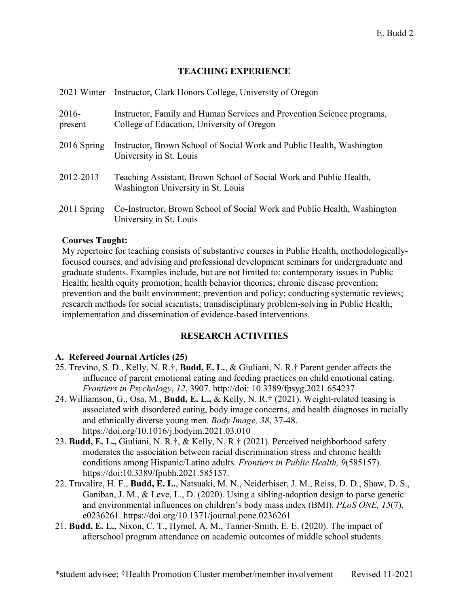#### **TEACHING EXPERIENCE**

|                    | 2021 Winter Instructor, Clark Honors College, University of Oregon                                                   |
|--------------------|----------------------------------------------------------------------------------------------------------------------|
| $2016-$<br>present | Instructor, Family and Human Services and Prevention Science programs,<br>College of Education, University of Oregon |
| 2016 Spring        | Instructor, Brown School of Social Work and Public Health, Washington<br>University in St. Louis                     |
| 2012-2013          | Teaching Assistant, Brown School of Social Work and Public Health,<br>Washington University in St. Louis             |
| 2011 Spring        | Co-Instructor, Brown School of Social Work and Public Health, Washington<br>University in St. Louis                  |

#### **Courses Taught:**

My repertoire for teaching consists of substantive courses in Public Health, methodologicallyfocused courses, and advising and professional development seminars for undergraduate and graduate students. Examples include, but are not limited to: contemporary issues in Public Health; health equity promotion; health behavior theories; chronic disease prevention; prevention and the built environment; prevention and policy; conducting systematic reviews; research methods for social scientists; transdisciplinary problem-solving in Public Health; implementation and dissemination of evidence-based interventions.

#### **RESEARCH ACTIVITIES**

## **A. Refereed Journal Articles (25)**

- 25. Trevino, S. D., Kelly, N. R.†, **Budd, E. L.**, & Giuliani, N. R.† Parent gender affects the influence of parent emotional eating and feeding practices on child emotional eating. *Frontiers in Psychology*, *12*, 3907. http://doi: 10.3389/fpsyg.2021.654237
- 24. Williamson, G., Osa, M., **Budd, E. L.,** & Kelly, N. R.† (2021). Weight-related teasing is associated with disordered eating, body image concerns, and health diagnoses in racially and ethnically diverse young men. *Body Image, 38*, 37-48. https://doi.org/10.1016/j.bodyim.2021.03.010
- 23. **Budd, E. L.,** Giuliani, N. R.†, & Kelly, N. R.† (2021). Perceived neighborhood safety moderates the association between racial discrimination stress and chronic health conditions among Hispanic/Latino adults. *Frontiers in Public Health, 9*(585157). https://doi:10.3389/fpubh.2021.585157.
- 22. Travalire, H. F., **Budd, E. L.**, Natsuaki, M. N., Neiderhiser, J. M., Reiss, D. D., Shaw, D. S., Ganiban, J. M., & Leve, L., D. (2020). Using a sibling-adoption design to parse genetic and environmental influences on children's body mass index (BMI). *PLoS ONE, 15*(7), e0236261. https://doi.org/10.1371/journal.pone.0236261
- 21. **Budd, E. L.**, Nixon, C. T., Hymel, A. M., Tanner-Smith, E. E. (2020). The impact of afterschool program attendance on academic outcomes of middle school students.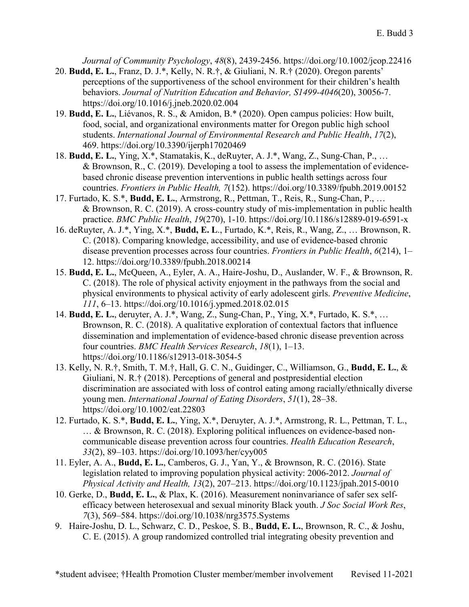*Journal of Community Psychology*, *48*(8), 2439-2456. https://doi.org/10.1002/jcop.22416

- 20. **Budd, E. L.**, Franz, D. J.\*, Kelly, N. R.†, & Giuliani, N. R.† (2020). Oregon parents' perceptions of the supportiveness of the school environment for their children's health behaviors. *Journal of Nutrition Education and Behavior, S1499-4046*(20), 30056-7. https://doi.org/10.1016/j.jneb.2020.02.004
- 19. **Budd, E. L.**, Liévanos, R. S., & Amidon, B.\* (2020). Open campus policies: How built, food, social, and organizational environments matter for Oregon public high school students. *International Journal of Environmental Research and Public Health*, *17*(2), 469. https://doi.org/10.3390/ijerph17020469
- 18. **Budd, E. L.**, Ying, X.\*, Stamatakis, K., deRuyter, A. J.\*, Wang, Z., Sung-Chan, P., … & Brownson, R., C. (2019). Developing a tool to assess the implementation of evidencebased chronic disease prevention interventions in public health settings across four countries. *Frontiers in Public Health, 7*(152). https://doi.org/10.3389/fpubh.2019.00152
- 17. Furtado, K. S.\*, **Budd, E. L.**, Armstrong, R., Pettman, T., Reis, R., Sung-Chan, P., … & Brownson, R. C. (2019). A cross-country study of mis-implementation in public health practice. *BMC Public Health*, *19*(270), 1-10. https://doi.org/10.1186/s12889-019-6591-x
- 16. deRuyter, A. J.\*, Ying, X.\*, **Budd, E. L**., Furtado, K.\*, Reis, R., Wang, Z., … Brownson, R. C. (2018). Comparing knowledge, accessibility, and use of evidence-based chronic disease prevention processes across four countries. *Frontiers in Public Health*, *6*(214), 1– 12. https://doi.org/10.3389/fpubh.2018.00214
- 15. **Budd, E. L.**, McQueen, A., Eyler, A. A., Haire-Joshu, D., Auslander, W. F., & Brownson, R. C. (2018). The role of physical activity enjoyment in the pathways from the social and physical environments to physical activity of early adolescent girls. *Preventive Medicine*, *111*, 6–13. https://doi.org/10.1016/j.ypmed.2018.02.015
- 14. **Budd, E. L.**, deruyter, A. J.\*, Wang, Z., Sung-Chan, P., Ying, X.\*, Furtado, K. S.\*, … Brownson, R. C. (2018). A qualitative exploration of contextual factors that influence dissemination and implementation of evidence-based chronic disease prevention across four countries. *BMC Health Services Research*, *18*(1), 1–13. https://doi.org/10.1186/s12913-018-3054-5
- 13. Kelly, N. R.†, Smith, T. M.†, Hall, G. C. N., Guidinger, C., Williamson, G., **Budd, E. L.**, & Giuliani, N. R.† (2018). Perceptions of general and postpresidential election discrimination are associated with loss of control eating among racially/ethnically diverse young men. *International Journal of Eating Disorders*, *51*(1), 28–38. https://doi.org/10.1002/eat.22803
- 12. Furtado, K. S.\*, **Budd, E. L.**, Ying, X.\*, Deruyter, A. J.\*, Armstrong, R. L., Pettman, T. L., … & Brownson, R. C. (2018). Exploring political influences on evidence-based noncommunicable disease prevention across four countries. *Health Education Research*, *33*(2), 89–103. https://doi.org/10.1093/her/cyy005
- 11. Eyler, A. A., **Budd, E. L.**, Camberos, G. J., Yan, Y., & Brownson, R. C. (2016). State legislation related to improving population physical activity: 2006-2012. *Journal of Physical Activity and Health, 13*(2), 207–213. https://doi.org/10.1123/jpah.2015-0010
- 10. Gerke, D., **Budd, E. L.**, & Plax, K. (2016). Measurement noninvariance of safer sex selfefficacy between heterosexual and sexual minority Black youth. *J Soc Social Work Res*, *7*(3), 569–584. https://doi.org/10.1038/nrg3575.Systems
- 9. Haire-Joshu, D. L., Schwarz, C. D., Peskoe, S. B., **Budd, E. L.**, Brownson, R. C., & Joshu, C. E. (2015). A group randomized controlled trial integrating obesity prevention and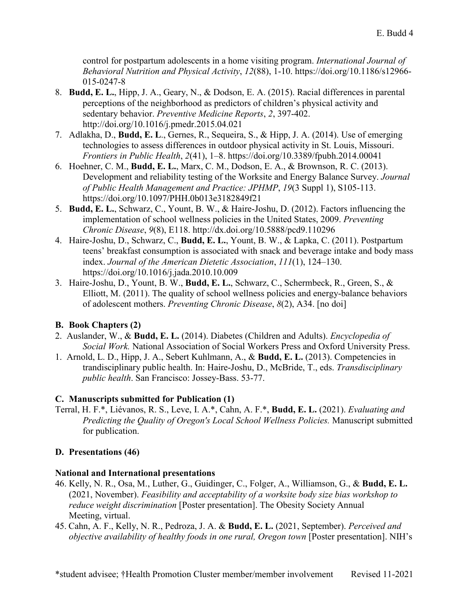control for postpartum adolescents in a home visiting program. *International Journal of Behavioral Nutrition and Physical Activity*, *12*(88), 1-10. https://doi.org/10.1186/s12966- 015-0247-8

- 8. **Budd, E. L.**, Hipp, J. A., Geary, N., & Dodson, E. A. (2015). Racial differences in parental perceptions of the neighborhood as predictors of children's physical activity and sedentary behavior. *Preventive Medicine Reports*, *2*, 397-402. http://doi.org/10.1016/j.pmedr.2015.04.021
- 7. Adlakha, D., **Budd, E. L**., Gernes, R., Sequeira, S., & Hipp, J. A. (2014). Use of emerging technologies to assess differences in outdoor physical activity in St. Louis, Missouri. *Frontiers in Public Health*, *2*(41), 1–8. https://doi.org/10.3389/fpubh.2014.00041
- 6. Hoehner, C. M., **Budd, E. L.**, Marx, C. M., Dodson, E. A., & Brownson, R. C. (2013). Development and reliability testing of the Worksite and Energy Balance Survey. *Journal of Public Health Management and Practice: JPHMP*, *19*(3 Suppl 1), S105-113. https://doi.org/10.1097/PHH.0b013e3182849f21
- 5. **Budd, E. L.**, Schwarz, C., Yount, B. W., & Haire-Joshu, D. (2012). Factors influencing the implementation of school wellness policies in the United States, 2009. *Preventing Chronic Disease*, *9*(8), E118. http://dx.doi.org/10.5888/pcd9.110296
- 4. Haire-Joshu, D., Schwarz, C., **Budd, E. L.**, Yount, B. W., & Lapka, C. (2011). Postpartum teens' breakfast consumption is associated with snack and beverage intake and body mass index. *Journal of the American Dietetic Association*, *111*(1), 124–130. https://doi.org/10.1016/j.jada.2010.10.009
- 3. Haire-Joshu, D., Yount, B. W., **Budd, E. L.**, Schwarz, C., Schermbeck, R., Green, S., & Elliott, M. (2011). The quality of school wellness policies and energy-balance behaviors of adolescent mothers. *Preventing Chronic Disease*, *8*(2), A34. [no doi]

## **B. Book Chapters (2)**

- 2. Auslander, W., & **Budd, E. L.** (2014). Diabetes (Children and Adults). *Encyclopedia of Social Work.* National Association of Social Workers Press and Oxford University Press.
- 1. Arnold, L. D., Hipp, J. A., Sebert Kuhlmann, A., & **Budd, E. L.** (2013). Competencies in trandisciplinary public health. In: Haire-Joshu, D., McBride, T., eds. *Transdisciplinary public health*. San Francisco: Jossey-Bass. 53-77.

## **C. Manuscripts submitted for Publication (1)**

Terral, H. F.\*, Liévanos, R. S., Leve, I. A.\*, Cahn, A. F.\*, **Budd, E. L.** (2021). *Evaluating and Predicting the Quality of Oregon's Local School Wellness Policies.* Manuscript submitted for publication.

## **D. Presentations (46)**

## **National and International presentations**

- 46. Kelly, N. R., Osa, M., Luther, G., Guidinger, C., Folger, A., Williamson, G., & **Budd, E. L.** (2021, November). *Feasibility and acceptability of a worksite body size bias workshop to reduce weight discrimination* [Poster presentation]. The Obesity Society Annual Meeting, virtual.
- 45. Cahn, A. F., Kelly, N. R., Pedroza, J. A. & **Budd, E. L.** (2021, September). *Perceived and objective availability of healthy foods in one rural, Oregon town* [Poster presentation]. NIH's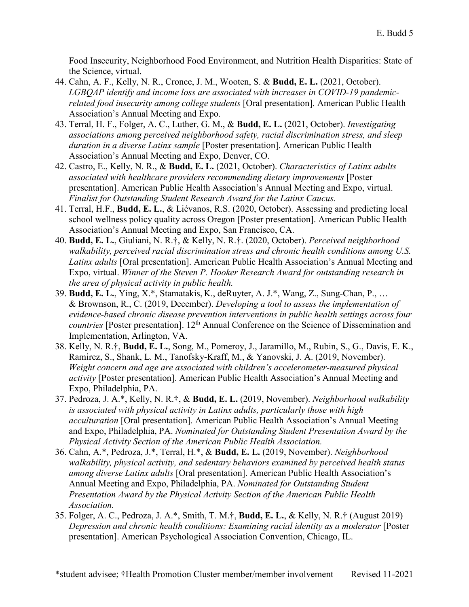Food Insecurity, Neighborhood Food Environment, and Nutrition Health Disparities: State of the Science, virtual.

- 44. Cahn, A. F., Kelly, N. R., Cronce, J. M., Wooten, S. & **Budd, E. L.** (2021, October). *LGBQAP identify and income loss are associated with increases in COVID-19 pandemicrelated food insecurity among college students* [Oral presentation]. American Public Health Association's Annual Meeting and Expo.
- 43. Terral, H. F., Folger, A. C., Luther, G. M., & **Budd, E. L.** (2021, October). *Investigating associations among perceived neighborhood safety, racial discrimination stress, and sleep duration in a diverse Latinx sample* [Poster presentation]. American Public Health Association's Annual Meeting and Expo, Denver, CO.
- 42. Castro, E., Kelly, N. R., & **Budd, E. L.** (2021, October). *Characteristics of Latinx adults associated with healthcare providers recommending dietary improvements* [Poster presentation]. American Public Health Association's Annual Meeting and Expo, virtual. *Finalist for Outstanding Student Research Award for the Latinx Caucus.*
- 41. Terral, H.F., **Budd, E. L.**, & Liévanos, R.S. (2020, October). Assessing and predicting local school wellness policy quality across Oregon [Poster presentation]. American Public Health Association's Annual Meeting and Expo, San Francisco, CA.
- 40. **Budd, E. L.**, Giuliani, N. R.†, & Kelly, N. R.†. (2020, October). *Perceived neighborhood walkability, perceived racial discrimination stress and chronic health conditions among U.S. Latinx adults* [Oral presentation]. American Public Health Association's Annual Meeting and Expo, virtual. *Winner of the Steven P. Hooker Research Award for outstanding research in the area of physical activity in public health.*
- 39. **Budd, E. L.**, Ying, X.\*, Stamatakis, K., deRuyter, A. J.\*, Wang, Z., Sung-Chan, P., … & Brownson, R., C. (2019, December). *Developing a tool to assess the implementation of evidence-based chronic disease prevention interventions in public health settings across four countries* [Poster presentation]. 12<sup>th</sup> Annual Conference on the Science of Dissemination and Implementation, Arlington, VA.
- 38. Kelly, N. R.†, **Budd, E. L.**, Song, M., Pomeroy, J., Jaramillo, M., Rubin, S., G., Davis, E. K., Ramirez, S., Shank, L. M., Tanofsky-Kraff, M., & Yanovski, J. A. (2019, November). *Weight concern and age are associated with children's accelerometer-measured physical activity* [Poster presentation]. American Public Health Association's Annual Meeting and Expo, Philadelphia, PA.
- 37. Pedroza, J. A.\*, Kelly, N. R.†, & **Budd, E. L.** (2019, November). *Neighborhood walkability is associated with physical activity in Latinx adults, particularly those with high acculturation* [Oral presentation]. American Public Health Association's Annual Meeting and Expo, Philadelphia, PA. *Nominated for Outstanding Student Presentation Award by the Physical Activity Section of the American Public Health Association.*
- 36. Cahn, A.\*, Pedroza, J.\*, Terral, H.\*, & **Budd, E. L.** (2019, November). *Neighborhood walkability, physical activity, and sedentary behaviors examined by perceived health status among diverse Latinx adults* [Oral presentation]. American Public Health Association's Annual Meeting and Expo, Philadelphia, PA. *Nominated for Outstanding Student Presentation Award by the Physical Activity Section of the American Public Health Association.*
- 35. Folger, A. C., Pedroza, J. A.\*, Smith, T. M.†, **Budd, E. L.**, & Kelly, N. R.† (August 2019) *Depression and chronic health conditions: Examining racial identity as a moderator* [Poster presentation]. American Psychological Association Convention, Chicago, IL.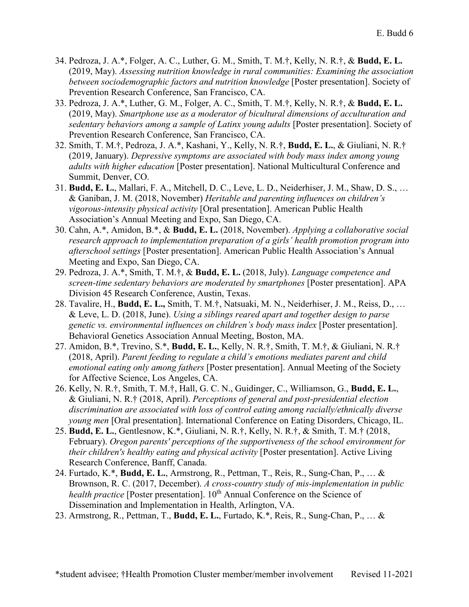- 34. Pedroza, J. A.\*, Folger, A. C., Luther, G. M., Smith, T. M.†, Kelly, N. R.†, & **Budd, E. L.** (2019, May). *Assessing nutrition knowledge in rural communities: Examining the association between sociodemographic factors and nutrition knowledge* [Poster presentation]. Society of Prevention Research Conference, San Francisco, CA.
- 33. Pedroza, J. A.\*, Luther, G. M., Folger, A. C., Smith, T. M.†, Kelly, N. R.†, & **Budd, E. L.** (2019, May). *Smartphone use as a moderator of bicultural dimensions of acculturation and sedentary behaviors among a sample of Latinx young adults* [Poster presentation]. Society of Prevention Research Conference, San Francisco, CA.
- 32. Smith, T. M.†, Pedroza, J. A.\*, Kashani, Y., Kelly, N. R.†, **Budd, E. L.**, & Giuliani, N. R.† (2019, January). *Depressive symptoms are associated with body mass index among young adults with higher education* [Poster presentation]. National Multicultural Conference and Summit, Denver, CO.
- 31. **Budd, E. L.**, Mallari, F. A., Mitchell, D. C., Leve, L. D., Neiderhiser, J. M., Shaw, D. S., … & Ganiban, J. M. (2018, November) *Heritable and parenting influences on children's vigorous-intensity physical activity* [Oral presentation]. American Public Health Association's Annual Meeting and Expo, San Diego, CA.
- 30. Cahn, A.\*, Amidon, B.\*, & **Budd, E. L.** (2018, November). *Applying a collaborative social research approach to implementation preparation of a girls' health promotion program into afterschool settings* [Poster presentation]. American Public Health Association's Annual Meeting and Expo, San Diego, CA.
- 29. Pedroza, J. A.\*, Smith, T. M.†, & **Budd, E. L.** (2018, July). *Language competence and screen-time sedentary behaviors are moderated by smartphones* [Poster presentation]. APA Division 45 Research Conference, Austin, Texas.
- 28. Tavalire, H., **Budd, E. L.,** Smith, T. M.†, Natsuaki, M. N., Neiderhiser, J. M., Reiss, D., … & Leve, L. D. (2018, June). *Using a siblings reared apart and together design to parse genetic vs. environmental influences on children's body mass index* [Poster presentation]. Behavioral Genetics Association Annual Meeting, Boston, MA.
- 27. Amidon, B.\*, Trevino, S.\*, **Budd, E. L.**, Kelly, N. R.†, Smith, T. M.†, & Giuliani, N. R.† (2018, April). *Parent feeding to regulate a child's emotions mediates parent and child emotional eating only among fathers* [Poster presentation]. Annual Meeting of the Society for Affective Science, Los Angeles, CA.
- 26. Kelly, N. R.†, Smith, T. M.†, Hall, G. C. N., Guidinger, C., Williamson, G., **Budd, E. L.**, & Giuliani, N. R.† (2018, April). *Perceptions of general and post-presidential election discrimination are associated with loss of control eating among racially/ethnically diverse young men* [Oral presentation]. International Conference on Eating Disorders, Chicago, IL.
- 25. **Budd, E. L.**, Gentlesnow, K.\*, Giuliani, N. R.†, Kelly, N. R.†, & Smith, T. M.† (2018, February). *Oregon parents' perceptions of the supportiveness of the school environment for their children's healthy eating and physical activity* [Poster presentation]. Active Living Research Conference, Banff, Canada.
- 24. Furtado, K.\*, **Budd, E. L.**, Armstrong, R., Pettman, T., Reis, R., Sung-Chan, P., … & Brownson, R. C. (2017, December). *A cross-country study of mis-implementation in public health practice* [Poster presentation]. 10<sup>th</sup> Annual Conference on the Science of Dissemination and Implementation in Health, Arlington, VA.
- 23. Armstrong, R., Pettman, T., **Budd, E. L.**, Furtado, K.\*, Reis, R., Sung-Chan, P., … &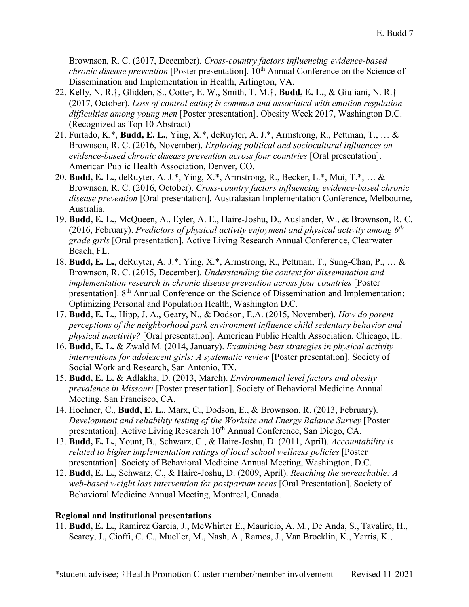Brownson, R. C. (2017, December). *Cross-country factors influencing evidence-based chronic disease prevention* [Poster presentation]. 10<sup>th</sup> Annual Conference on the Science of Dissemination and Implementation in Health, Arlington, VA.

- 22. Kelly, N. R.†, Glidden, S., Cotter, E. W., Smith, T. M.†, **Budd, E. L.**, & Giuliani, N. R.† (2017, October). *Loss of control eating is common and associated with emotion regulation difficulties among young men* [Poster presentation]. Obesity Week 2017, Washington D.C. (Recognized as Top 10 Abstract)
- 21. Furtado, K.\*, **Budd, E. L.**, Ying, X.\*, deRuyter, A. J.\*, Armstrong, R., Pettman, T., … & Brownson, R. C. (2016, November). *Exploring political and sociocultural influences on evidence-based chronic disease prevention across four countries* [Oral presentation]. American Public Health Association, Denver, CO.
- 20. **Budd, E. L.**, deRuyter, A. J.\*, Ying, X.\*, Armstrong, R., Becker, L.\*, Mui, T.\*, … & Brownson, R. C. (2016, October). *Cross-country factors influencing evidence-based chronic disease prevention* [Oral presentation]. Australasian Implementation Conference, Melbourne, Australia.
- 19. **Budd, E. L.**, McQueen, A., Eyler, A. E., Haire-Joshu, D., Auslander, W., & Brownson, R. C. (2016, February). *Predictors of physical activity enjoyment and physical activity among 6th grade girls* [Oral presentation]. Active Living Research Annual Conference, Clearwater Beach, FL.
- 18. **Budd, E. L.**, deRuyter, A. J.\*, Ying, X.\*, Armstrong, R., Pettman, T., Sung-Chan, P., … & Brownson, R. C. (2015, December). *Understanding the context for dissemination and implementation research in chronic disease prevention across four countries* [Poster presentation]. 8<sup>th</sup> Annual Conference on the Science of Dissemination and Implementation: Optimizing Personal and Population Health, Washington D.C.
- 17. **Budd, E. L.**, Hipp, J. A., Geary, N., & Dodson, E.A. (2015, November). *How do parent perceptions of the neighborhood park environment influence child sedentary behavior and physical inactivity?* [Oral presentation]. American Public Health Association, Chicago, IL.
- 16. **Budd, E. L.** & Zwald M. (2014, January). *Examining best strategies in physical activity interventions for adolescent girls: A systematic review* [Poster presentation]. Society of Social Work and Research, San Antonio, TX.
- 15. **Budd, E. L.** & Adlakha, D. (2013, March). *Environmental level factors and obesity prevalence in Missouri* [Poster presentation]. Society of Behavioral Medicine Annual Meeting, San Francisco, CA.
- 14. Hoehner, C., **Budd, E. L.**, Marx, C., Dodson, E., & Brownson, R. (2013, February). *Development and reliability testing of the Worksite and Energy Balance Survey* [Poster presentation]. Active Living Research 10<sup>th</sup> Annual Conference, San Diego, CA.
- 13. **Budd, E. L.**, Yount, B., Schwarz, C., & Haire-Joshu, D. (2011, April). *Accountability is related to higher implementation ratings of local school wellness policies* [Poster presentation]. Society of Behavioral Medicine Annual Meeting, Washington, D.C.
- 12. **Budd, E. L.**, Schwarz, C., & Haire-Joshu, D. (2009, April). *Reaching the unreachable: A web-based weight loss intervention for postpartum teens* [Oral Presentation]. Society of Behavioral Medicine Annual Meeting, Montreal, Canada.

## **Regional and institutional presentations**

11. **Budd, E. L.**, Ramirez Garcia, J., McWhirter E., Mauricio, A. M., De Anda, S., Tavalire, H., Searcy, J., Cioffi, C. C., Mueller, M., Nash, A., Ramos, J., Van Brocklin, K., Yarris, K.,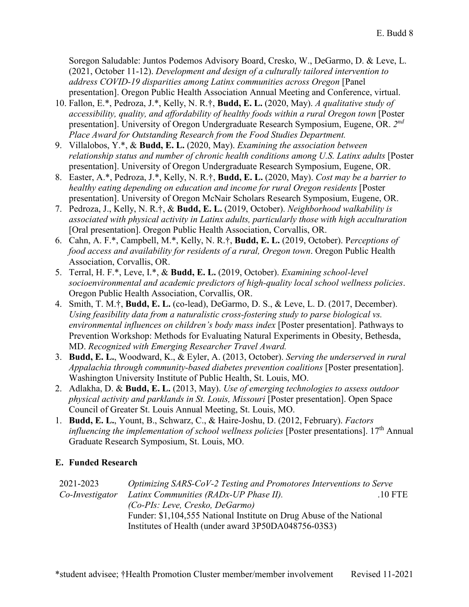Soregon Saludable: Juntos Podemos Advisory Board, Cresko, W., DeGarmo, D. & Leve, L. (2021, October 11-12). *Development and design of a culturally tailored intervention to address COVID-19 disparities among Latinx communities across Oregon* [Panel presentation]. Oregon Public Health Association Annual Meeting and Conference, virtual.

- 10. Fallon, E.\*, Pedroza, J.\*, Kelly, N. R.†, **Budd, E. L.** (2020, May). *A qualitative study of accessibility, quality, and affordability of healthy foods within a rural Oregon town* [Poster presentation]. University of Oregon Undergraduate Research Symposium, Eugene, OR. *2nd Place Award for Outstanding Research from the Food Studies Department.*
- 9. Villalobos, Y.\*, & **Budd, E. L.** (2020, May). *Examining the association between relationship status and number of chronic health conditions among U.S. Latinx adults* [Poster presentation]. University of Oregon Undergraduate Research Symposium, Eugene, OR.
- 8. Easter, A.\*, Pedroza, J.\*, Kelly, N. R.†, **Budd, E. L.** (2020, May). *Cost may be a barrier to healthy eating depending on education and income for rural Oregon residents* [Poster presentation]. University of Oregon McNair Scholars Research Symposium, Eugene, OR.
- 7. Pedroza, J., Kelly, N. R.†, & **Budd, E. L.** (2019, October). *Neighborhood walkability is associated with physical activity in Latinx adults, particularly those with high acculturation* [Oral presentation]. Oregon Public Health Association, Corvallis, OR.
- 6. Cahn, A. F.\*, Campbell, M.\*, Kelly, N. R.†, **Budd, E. L.** (2019, October). P*erceptions of food access and availability for residents of a rural, Oregon town*. Oregon Public Health Association, Corvallis, OR.
- 5. Terral, H. F.\*, Leve, I.\*, & **Budd, E. L.** (2019, October). *Examining school-level socioenvironmental and academic predictors of high-quality local school wellness policies*. Oregon Public Health Association, Corvallis, OR.
- 4. Smith, T. M.†, **Budd, E. L.** (co-lead), DeGarmo, D. S., & Leve, L. D. (2017, December). *Using feasibility data from a naturalistic cross-fostering study to parse biological vs. environmental influences on children's body mass index* [Poster presentation]. Pathways to Prevention Workshop: Methods for Evaluating Natural Experiments in Obesity, Bethesda, MD. *Recognized with Emerging Researcher Travel Award.*
- 3. **Budd, E. L.**, Woodward, K., & Eyler, A. (2013, October). *Serving the underserved in rural Appalachia through community-based diabetes prevention coalitions* [Poster presentation]. Washington University Institute of Public Health, St. Louis, MO.
- 2. Adlakha, D. & **Budd, E. L.** (2013, May). *Use of emerging technologies to assess outdoor physical activity and parklands in St. Louis, Missouri* [Poster presentation]. Open Space Council of Greater St. Louis Annual Meeting, St. Louis, MO.
- 1. **Budd, E. L.**, Yount, B., Schwarz, C., & Haire-Joshu, D. (2012, February). *Factors influencing the implementation of school wellness policies* [Poster presentations]. 17th Annual Graduate Research Symposium, St. Louis, MO.

## **E. Funded Research**

| 2021-2023       | Optimizing SARS-CoV-2 Testing and Promotores Interventions to Serve  |           |
|-----------------|----------------------------------------------------------------------|-----------|
| Co-Investigator | Latinx Communities (RADx-UP Phase II).                               | $.10$ FTE |
|                 | (Co-PIs: Leve, Cresko, DeGarmo)                                      |           |
|                 | Funder: \$1,104,555 National Institute on Drug Abuse of the National |           |
|                 | Institutes of Health (under award 3P50DA048756-03S3)                 |           |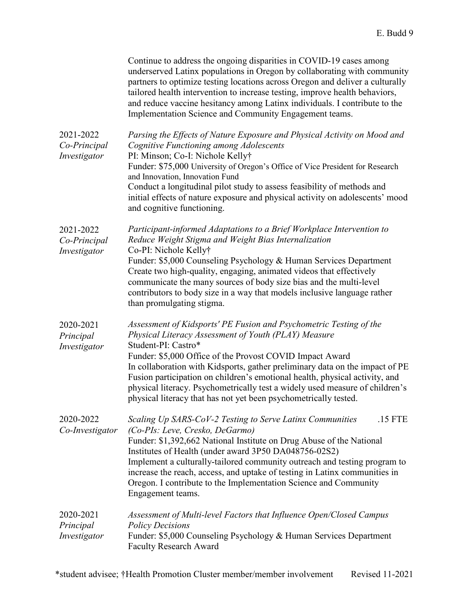|                                           | Continue to address the ongoing disparities in COVID-19 cases among<br>underserved Latinx populations in Oregon by collaborating with community<br>partners to optimize testing locations across Oregon and deliver a culturally<br>tailored health intervention to increase testing, improve health behaviors,<br>and reduce vaccine hesitancy among Latinx individuals. I contribute to the<br>Implementation Science and Community Engagement teams.                                                                          |
|-------------------------------------------|----------------------------------------------------------------------------------------------------------------------------------------------------------------------------------------------------------------------------------------------------------------------------------------------------------------------------------------------------------------------------------------------------------------------------------------------------------------------------------------------------------------------------------|
| 2021-2022<br>Co-Principal<br>Investigator | Parsing the Effects of Nature Exposure and Physical Activity on Mood and<br>Cognitive Functioning among Adolescents<br>PI: Minson; Co-I: Nichole Kelly†<br>Funder: \$75,000 University of Oregon's Office of Vice President for Research<br>and Innovation, Innovation Fund<br>Conduct a longitudinal pilot study to assess feasibility of methods and<br>initial effects of nature exposure and physical activity on adolescents' mood<br>and cognitive functioning.                                                            |
| 2021-2022<br>Co-Principal<br>Investigator | Participant-informed Adaptations to a Brief Workplace Intervention to<br>Reduce Weight Stigma and Weight Bias Internalization<br>Co-PI: Nichole Kelly†<br>Funder: \$5,000 Counseling Psychology & Human Services Department<br>Create two high-quality, engaging, animated videos that effectively<br>communicate the many sources of body size bias and the multi-level<br>contributors to body size in a way that models inclusive language rather<br>than promulgating stigma.                                                |
| 2020-2021<br>Principal<br>Investigator    | Assessment of Kidsports' PE Fusion and Psychometric Testing of the<br>Physical Literacy Assessment of Youth (PLAY) Measure<br>Student-PI: Castro*<br>Funder: \$5,000 Office of the Provost COVID Impact Award<br>In collaboration with Kidsports, gather preliminary data on the impact of PE<br>Fusion participation on children's emotional health, physical activity, and<br>physical literacy. Psychometrically test a widely used measure of children's<br>physical literacy that has not yet been psychometrically tested. |
| 2020-2022<br>Co-Investigator              | Scaling Up SARS-CoV-2 Testing to Serve Latinx Communities<br>.15 FTE<br>(Co-PIs: Leve, Cresko, DeGarmo)<br>Funder: \$1,392,662 National Institute on Drug Abuse of the National<br>Institutes of Health (under award 3P50 DA048756-02S2)<br>Implement a culturally-tailored community outreach and testing program to<br>increase the reach, access, and uptake of testing in Latinx communities in<br>Oregon. I contribute to the Implementation Science and Community<br>Engagement teams.                                     |
| 2020-2021<br>Principal<br>Investigator    | Assessment of Multi-level Factors that Influence Open/Closed Campus<br><b>Policy Decisions</b><br>Funder: \$5,000 Counseling Psychology & Human Services Department<br><b>Faculty Research Award</b>                                                                                                                                                                                                                                                                                                                             |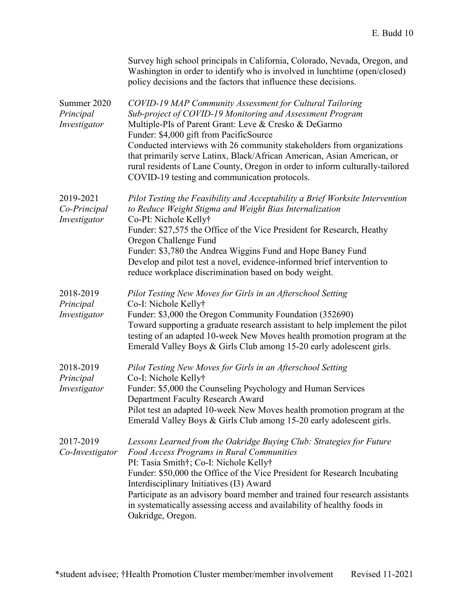|                                           | Survey high school principals in California, Colorado, Nevada, Oregon, and<br>Washington in order to identify who is involved in lunchtime (open/closed)<br>policy decisions and the factors that influence these decisions.                                                                                                                                                                                                                                                                                     |
|-------------------------------------------|------------------------------------------------------------------------------------------------------------------------------------------------------------------------------------------------------------------------------------------------------------------------------------------------------------------------------------------------------------------------------------------------------------------------------------------------------------------------------------------------------------------|
| Summer 2020<br>Principal<br>Investigator  | COVID-19 MAP Community Assessment for Cultural Tailoring<br>Sub-project of COVID-19 Monitoring and Assessment Program<br>Multiple-PIs of Parent Grant: Leve & Cresko & DeGarmo<br>Funder: \$4,000 gift from PacificSource<br>Conducted interviews with 26 community stakeholders from organizations<br>that primarily serve Latinx, Black/African American, Asian American, or<br>rural residents of Lane County, Oregon in order to inform culturally-tailored<br>COVID-19 testing and communication protocols. |
| 2019-2021<br>Co-Principal<br>Investigator | Pilot Testing the Feasibility and Acceptability a Brief Worksite Intervention<br>to Reduce Weight Stigma and Weight Bias Internalization<br>Co-PI: Nichole Kelly†<br>Funder: \$27,575 the Office of the Vice President for Research, Heathy<br>Oregon Challenge Fund<br>Funder: \$3,780 the Andrea Wiggins Fund and Hope Baney Fund<br>Develop and pilot test a novel, evidence-informed brief intervention to<br>reduce workplace discrimination based on body weight.                                          |
| 2018-2019<br>Principal<br>Investigator    | Pilot Testing New Moves for Girls in an Afterschool Setting<br>Co-I: Nichole Kelly†<br>Funder: \$3,000 the Oregon Community Foundation (352690)<br>Toward supporting a graduate research assistant to help implement the pilot<br>testing of an adapted 10-week New Moves health promotion program at the<br>Emerald Valley Boys & Girls Club among 15-20 early adolescent girls.                                                                                                                                |
| 2018-2019<br>Principal<br>Investigator    | Pilot Testing New Moves for Girls in an Afterschool Setting<br>Co-I: Nichole Kelly†<br>Funder: \$5,000 the Counseling Psychology and Human Services<br>Department Faculty Research Award<br>Pilot test an adapted 10-week New Moves health promotion program at the<br>Emerald Valley Boys & Girls Club among 15-20 early adolescent girls.                                                                                                                                                                      |
| 2017-2019<br>Co-Investigator              | Lessons Learned from the Oakridge Buying Club: Strategies for Future<br>Food Access Programs in Rural Communities<br>PI: Tasia Smith†; Co-I: Nichole Kelly†<br>Funder: \$50,000 the Office of the Vice President for Research Incubating<br>Interdisciplinary Initiatives (I3) Award<br>Participate as an advisory board member and trained four research assistants<br>in systematically assessing access and availability of healthy foods in<br>Oakridge, Oregon.                                             |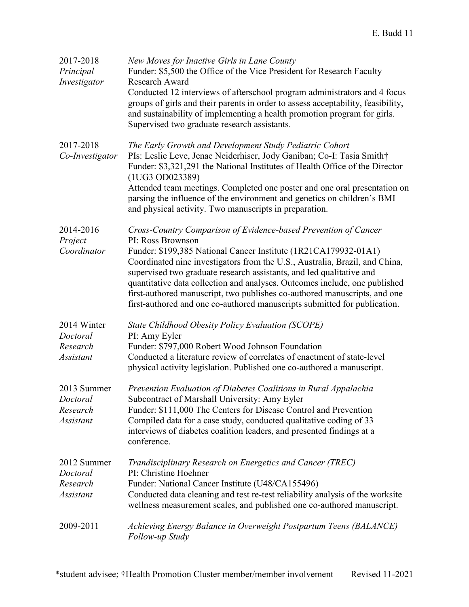| 2017-2018<br>Principal<br>Investigator                  | New Moves for Inactive Girls in Lane County<br>Funder: \$5,500 the Office of the Vice President for Research Faculty<br>Research Award<br>Conducted 12 interviews of afterschool program administrators and 4 focus<br>groups of girls and their parents in order to assess acceptability, feasibility,<br>and sustainability of implementing a health promotion program for girls.<br>Supervised two graduate research assistants.                                                                                                                    |
|---------------------------------------------------------|--------------------------------------------------------------------------------------------------------------------------------------------------------------------------------------------------------------------------------------------------------------------------------------------------------------------------------------------------------------------------------------------------------------------------------------------------------------------------------------------------------------------------------------------------------|
| 2017-2018<br>Co-Investigator                            | The Early Growth and Development Study Pediatric Cohort<br>PIs: Leslie Leve, Jenae Neiderhiser, Jody Ganiban; Co-I: Tasia Smith†<br>Funder: \$3,321,291 the National Institutes of Health Office of the Director<br>(1UG3 OD023389)<br>Attended team meetings. Completed one poster and one oral presentation on<br>parsing the influence of the environment and genetics on children's BMI<br>and physical activity. Two manuscripts in preparation.                                                                                                  |
| 2014-2016<br>Project<br>Coordinator                     | Cross-Country Comparison of Evidence-based Prevention of Cancer<br>PI: Ross Brownson<br>Funder: \$199,385 National Cancer Institute (1R21CA179932-01A1)<br>Coordinated nine investigators from the U.S., Australia, Brazil, and China,<br>supervised two graduate research assistants, and led qualitative and<br>quantitative data collection and analyses. Outcomes include, one published<br>first-authored manuscript, two publishes co-authored manuscripts, and one<br>first-authored and one co-authored manuscripts submitted for publication. |
| 2014 Winter<br>Doctoral<br>Research<br><b>Assistant</b> | <b>State Childhood Obesity Policy Evaluation (SCOPE)</b><br>PI: Amy Eyler<br>Funder: \$797,000 Robert Wood Johnson Foundation<br>Conducted a literature review of correlates of enactment of state-level<br>physical activity legislation. Published one co-authored a manuscript.                                                                                                                                                                                                                                                                     |
| 2013 Summer<br>Doctoral<br>Research<br><b>Assistant</b> | Prevention Evaluation of Diabetes Coalitions in Rural Appalachia<br>Subcontract of Marshall University: Amy Eyler<br>Funder: \$111,000 The Centers for Disease Control and Prevention<br>Compiled data for a case study, conducted qualitative coding of 33<br>interviews of diabetes coalition leaders, and presented findings at a<br>conference.                                                                                                                                                                                                    |
| 2012 Summer<br>Doctoral<br>Research<br><b>Assistant</b> | Trandisciplinary Research on Energetics and Cancer (TREC)<br>PI: Christine Hoehner<br>Funder: National Cancer Institute (U48/CA155496)<br>Conducted data cleaning and test re-test reliability analysis of the worksite<br>wellness measurement scales, and published one co-authored manuscript.                                                                                                                                                                                                                                                      |
| 2009-2011                                               | Achieving Energy Balance in Overweight Postpartum Teens (BALANCE)<br>Follow-up Study                                                                                                                                                                                                                                                                                                                                                                                                                                                                   |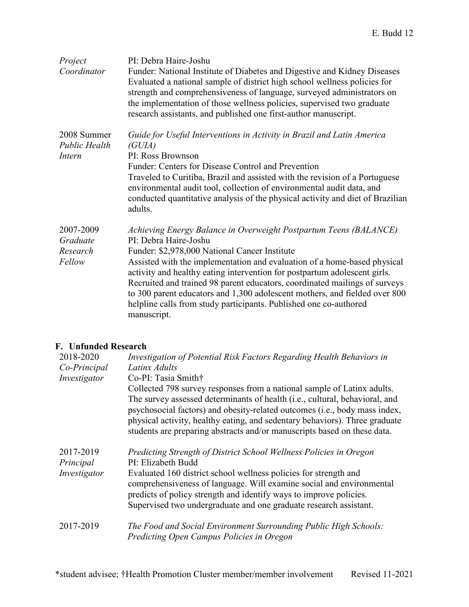| Project<br>Coordinator                        | PI: Debra Haire-Joshu<br>Funder: National Institute of Diabetes and Digestive and Kidney Diseases<br>Evaluated a national sample of district high school wellness policies for<br>strength and comprehensiveness of language, surveyed administrators on<br>the implementation of those wellness policies, supervised two graduate<br>research assistants, and published one first-author manuscript.                                                                                                                                                |
|-----------------------------------------------|------------------------------------------------------------------------------------------------------------------------------------------------------------------------------------------------------------------------------------------------------------------------------------------------------------------------------------------------------------------------------------------------------------------------------------------------------------------------------------------------------------------------------------------------------|
| 2008 Summer<br><b>Public Health</b><br>Intern | Guide for Useful Interventions in Activity in Brazil and Latin America<br>(GUIA)<br>PI: Ross Brownson                                                                                                                                                                                                                                                                                                                                                                                                                                                |
|                                               | Funder: Centers for Disease Control and Prevention<br>Traveled to Curitiba, Brazil and assisted with the revision of a Portuguese<br>environmental audit tool, collection of environmental audit data, and<br>conducted quantitative analysis of the physical activity and diet of Brazilian<br>adults.                                                                                                                                                                                                                                              |
| 2007-2009<br>Graduate<br>Research<br>Fellow   | Achieving Energy Balance in Overweight Postpartum Teens (BALANCE)<br>PI: Debra Haire-Joshu<br>Funder: \$2,978,000 National Cancer Institute<br>Assisted with the implementation and evaluation of a home-based physical<br>activity and healthy eating intervention for postpartum adolescent girls.<br>Recruited and trained 98 parent educators, coordinated mailings of surveys<br>to 300 parent educators and 1,300 adolescent mothers, and fielded over 800<br>helpline calls from study participants. Published one co-authored<br>manuscript. |

## **F. Unfunded Research**

| 2018-2020    | Investigation of Potential Risk Factors Regarding Health Behaviors in                                                                                                                                                                                                                                                                                                                           |
|--------------|-------------------------------------------------------------------------------------------------------------------------------------------------------------------------------------------------------------------------------------------------------------------------------------------------------------------------------------------------------------------------------------------------|
| Co-Principal | Latinx Adults                                                                                                                                                                                                                                                                                                                                                                                   |
| Investigator | Co-PI: Tasia Smith†                                                                                                                                                                                                                                                                                                                                                                             |
|              | Collected 798 survey responses from a national sample of Latinx adults.<br>The survey assessed determinants of health (i.e., cultural, behavioral, and<br>psychosocial factors) and obesity-related outcomes (i.e., body mass index,<br>physical activity, healthy eating, and sedentary behaviors). Three graduate<br>students are preparing abstracts and/or manuscripts based on these data. |
| 2017-2019    | Predicting Strength of District School Wellness Policies in Oregon                                                                                                                                                                                                                                                                                                                              |
| Principal    | PI: Elizabeth Budd                                                                                                                                                                                                                                                                                                                                                                              |
| Investigator | Evaluated 160 district school wellness policies for strength and                                                                                                                                                                                                                                                                                                                                |
|              | comprehensiveness of language. Will examine social and environmental<br>predicts of policy strength and identify ways to improve policies.                                                                                                                                                                                                                                                      |
|              | Supervised two undergraduate and one graduate research assistant.                                                                                                                                                                                                                                                                                                                               |
| 2017-2019    | The Food and Social Environment Surrounding Public High Schools:<br>Predicting Open Campus Policies in Oregon                                                                                                                                                                                                                                                                                   |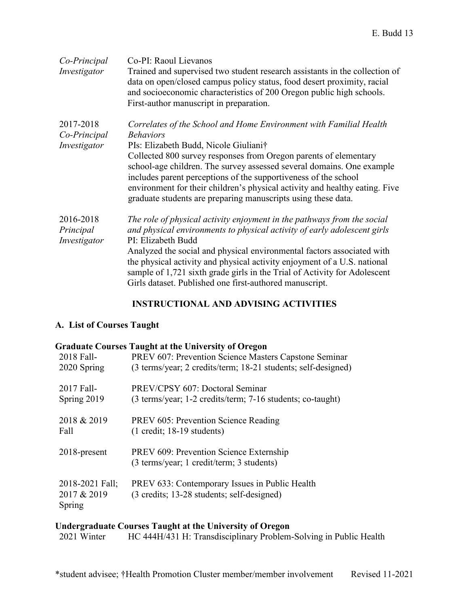| Co-Principal<br>Investigator              | Co-PI: Raoul Lievanos<br>Trained and supervised two student research assistants in the collection of<br>data on open/closed campus policy status, food desert proximity, racial<br>and socioeconomic characteristics of 200 Oregon public high schools.<br>First-author manuscript in preparation.                                                                                                                                                                                              |
|-------------------------------------------|-------------------------------------------------------------------------------------------------------------------------------------------------------------------------------------------------------------------------------------------------------------------------------------------------------------------------------------------------------------------------------------------------------------------------------------------------------------------------------------------------|
| 2017-2018<br>Co-Principal<br>Investigator | Correlates of the School and Home Environment with Familial Health<br><b>Behaviors</b><br>PIs: Elizabeth Budd, Nicole Giuliani†<br>Collected 800 survey responses from Oregon parents of elementary<br>school-age children. The survey assessed several domains. One example<br>includes parent perceptions of the supportiveness of the school<br>environment for their children's physical activity and healthy eating. Five<br>graduate students are preparing manuscripts using these data. |
| 2016-2018<br>Principal<br>Investigator    | The role of physical activity enjoyment in the pathways from the social<br>and physical environments to physical activity of early adolescent girls<br>PI: Elizabeth Budd<br>Analyzed the social and physical environmental factors associated with<br>the physical activity and physical activity enjoyment of a U.S. national<br>sample of 1,721 sixth grade girls in the Trial of Activity for Adolescent<br>Girls dataset. Published one first-authored manuscript.                         |

## **INSTRUCTIONAL AND ADVISING ACTIVITIES**

## **A. List of Courses Taught**

#### **Graduate Courses Taught at the University of Oregon**

| 2018 Fall-                               | PREV 607: Prevention Science Masters Capstone Seminar                                        |
|------------------------------------------|----------------------------------------------------------------------------------------------|
| 2020 Spring                              | (3 terms/year; 2 credits/term; 18-21 students; self-designed)                                |
| 2017 Fall-                               | PREV/CPSY 607: Doctoral Seminar                                                              |
| Spring 2019                              | (3 terms/year; 1-2 credits/term; 7-16 students; co-taught)                                   |
| 2018 & 2019                              | PREV 605: Prevention Science Reading                                                         |
| Fall                                     | $(1 \text{ credit}; 18-19 \text{ students})$                                                 |
| $2018$ -present                          | PREV 609: Prevention Science Externship<br>(3 terms/year; 1 credit/term; 3 students)         |
| 2018-2021 Fall;<br>2017 & 2019<br>Spring | PREV 633: Contemporary Issues in Public Health<br>(3 credits; 13-28 students; self-designed) |

# **Undergraduate Courses Taught at the University of Oregon**

HC 444H/431 H: Transdisciplinary Problem-Solving in Public Health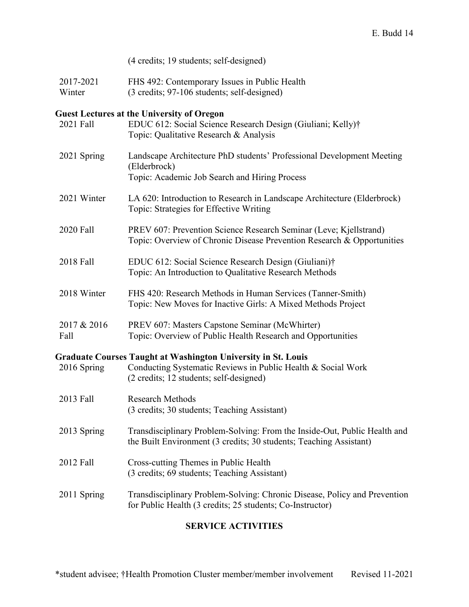| (4 credits; 19 students; self-designed) |  |
|-----------------------------------------|--|
|                                         |  |

2017-2021 Winter FHS 492: Contemporary Issues in Public Health (3 credits; 97-106 students; self-designed)

## **Guest Lectures at the University of Oregon**

| 2021 Fall           | EDUC 612: Social Science Research Design (Giuliani; Kelly)†<br>Topic: Qualitative Research & Analysis                                                                           |
|---------------------|---------------------------------------------------------------------------------------------------------------------------------------------------------------------------------|
| 2021 Spring         | Landscape Architecture PhD students' Professional Development Meeting<br>(Elderbrock)<br>Topic: Academic Job Search and Hiring Process                                          |
| 2021 Winter         | LA 620: Introduction to Research in Landscape Architecture (Elderbrock)<br>Topic: Strategies for Effective Writing                                                              |
| 2020 Fall           | PREV 607: Prevention Science Research Seminar (Leve; Kjellstrand)<br>Topic: Overview of Chronic Disease Prevention Research & Opportunities                                     |
| 2018 Fall           | EDUC 612: Social Science Research Design (Giuliani)†<br>Topic: An Introduction to Qualitative Research Methods                                                                  |
| 2018 Winter         | FHS 420: Research Methods in Human Services (Tanner-Smith)<br>Topic: New Moves for Inactive Girls: A Mixed Methods Project                                                      |
| 2017 & 2016<br>Fall | PREV 607: Masters Capstone Seminar (McWhirter)<br>Topic: Overview of Public Health Research and Opportunities                                                                   |
|                     |                                                                                                                                                                                 |
| 2016 Spring         | <b>Graduate Courses Taught at Washington University in St. Louis</b><br>Conducting Systematic Reviews in Public Health & Social Work<br>(2 credits; 12 students; self-designed) |
| 2013 Fall           | <b>Research Methods</b><br>(3 credits; 30 students; Teaching Assistant)                                                                                                         |
| 2013 Spring         | Transdisciplinary Problem-Solving: From the Inside-Out, Public Health and<br>the Built Environment (3 credits; 30 students; Teaching Assistant)                                 |
| 2012 Fall           | Cross-cutting Themes in Public Health<br>(3 credits; 69 students; Teaching Assistant)                                                                                           |
| 2011 Spring         | Transdisciplinary Problem-Solving: Chronic Disease, Policy and Prevention<br>for Public Health (3 credits; 25 students; Co-Instructor)                                          |

## **SERVICE ACTIVITIES**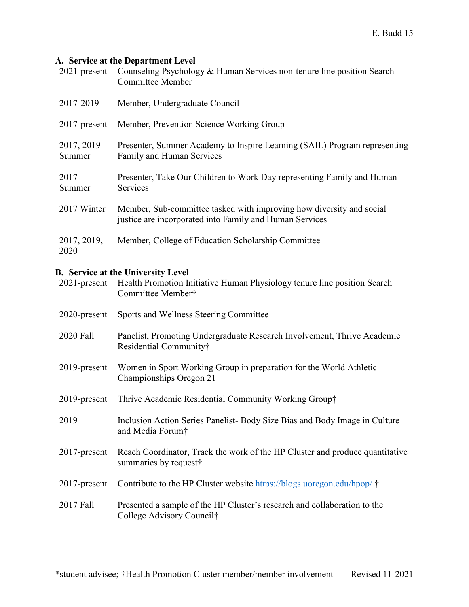## **A. Service at the Department Level**

| $2021$ -present      | Counseling Psychology & Human Services non-tenure line position Search<br><b>Committee Member</b>                               |
|----------------------|---------------------------------------------------------------------------------------------------------------------------------|
| 2017-2019            | Member, Undergraduate Council                                                                                                   |
| $2017$ -present      | Member, Prevention Science Working Group                                                                                        |
| 2017, 2019<br>Summer | Presenter, Summer Academy to Inspire Learning (SAIL) Program representing<br>Family and Human Services                          |
| 2017<br>Summer       | Presenter, Take Our Children to Work Day representing Family and Human<br>Services                                              |
| 2017 Winter          | Member, Sub-committee tasked with improving how diversity and social<br>justice are incorporated into Family and Human Services |
| 2017, 2019,<br>2020  | Member, College of Education Scholarship Committee                                                                              |

#### **B. Service at the University Level**

| $2021$ -present | Health Promotion Initiative Human Physiology tenure line position Search<br>Committee Member†              |
|-----------------|------------------------------------------------------------------------------------------------------------|
| 2020-present    | Sports and Wellness Steering Committee                                                                     |
| 2020 Fall       | Panelist, Promoting Undergraduate Research Involvement, Thrive Academic<br>Residential Community†          |
| 2019-present    | Women in Sport Working Group in preparation for the World Athletic<br>Championships Oregon 21              |
| 2019-present    | Thrive Academic Residential Community Working Group†                                                       |
| 2019            | Inclusion Action Series Panelist- Body Size Bias and Body Image in Culture<br>and Media Forum <sup>†</sup> |
| $2017$ -present | Reach Coordinator, Track the work of the HP Cluster and produce quantitative<br>summaries by request†      |
| $2017$ -present | Contribute to the HP Cluster website https://blogs.uoregon.edu/hpop/                                       |
| 2017 Fall       | Presented a sample of the HP Cluster's research and collaboration to the<br>College Advisory Council†      |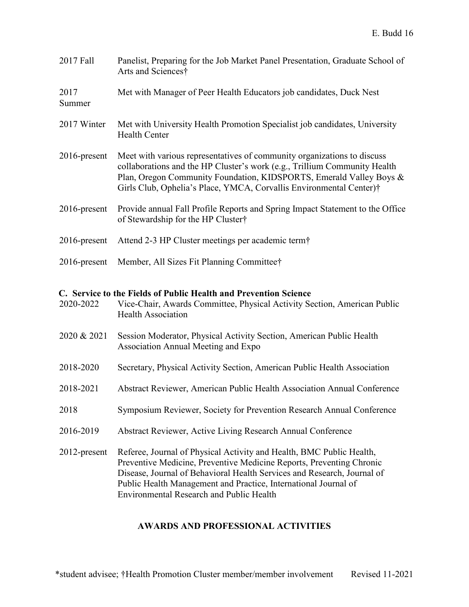| 2017 Fall       | Panelist, Preparing for the Job Market Panel Presentation, Graduate School of<br>Arts and Sciences†                                                                                                                                                                                                |
|-----------------|----------------------------------------------------------------------------------------------------------------------------------------------------------------------------------------------------------------------------------------------------------------------------------------------------|
| 2017<br>Summer  | Met with Manager of Peer Health Educators job candidates, Duck Nest                                                                                                                                                                                                                                |
| 2017 Winter     | Met with University Health Promotion Specialist job candidates, University<br><b>Health Center</b>                                                                                                                                                                                                 |
| 2016-present    | Meet with various representatives of community organizations to discuss<br>collaborations and the HP Cluster's work (e.g., Trillium Community Health<br>Plan, Oregon Community Foundation, KIDSPORTS, Emerald Valley Boys &<br>Girls Club, Ophelia's Place, YMCA, Corvallis Environmental Center)† |
| 2016-present    | Provide annual Fall Profile Reports and Spring Impact Statement to the Office<br>of Stewardship for the HP Cluster†                                                                                                                                                                                |
| $2016$ -present | Attend 2-3 HP Cluster meetings per academic term <sup>†</sup>                                                                                                                                                                                                                                      |
| 2016-present    | Member, All Sizes Fit Planning Committee†                                                                                                                                                                                                                                                          |
|                 |                                                                                                                                                                                                                                                                                                    |
| 2020-2022       | C. Service to the Fields of Public Health and Prevention Science<br>Vice-Chair, Awards Committee, Physical Activity Section, American Public<br><b>Health Association</b>                                                                                                                          |
| 2020 & 2021     | Session Moderator, Physical Activity Section, American Public Health<br>Association Annual Meeting and Expo                                                                                                                                                                                        |
| 2018-2020       | Secretary, Physical Activity Section, American Public Health Association                                                                                                                                                                                                                           |
| 2018-2021       | Abstract Reviewer, American Public Health Association Annual Conference                                                                                                                                                                                                                            |
| 2018            | Symposium Reviewer, Society for Prevention Research Annual Conference                                                                                                                                                                                                                              |
| 2016-2019       | Abstract Reviewer, Active Living Research Annual Conference                                                                                                                                                                                                                                        |

## **AWARDS AND PROFESSIONAL ACTIVITIES**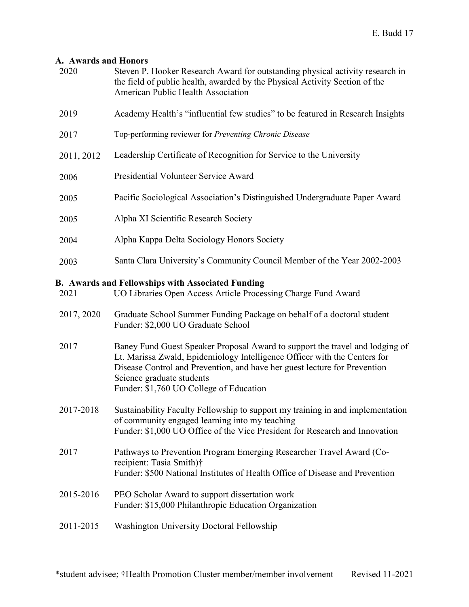## **A. Awards and Honors**

| 2020       | Steven P. Hooker Research Award for outstanding physical activity research in<br>the field of public health, awarded by the Physical Activity Section of the<br>American Public Health Association                                                                                                             |
|------------|----------------------------------------------------------------------------------------------------------------------------------------------------------------------------------------------------------------------------------------------------------------------------------------------------------------|
| 2019       | Academy Health's "influential few studies" to be featured in Research Insights                                                                                                                                                                                                                                 |
| 2017       | Top-performing reviewer for Preventing Chronic Disease                                                                                                                                                                                                                                                         |
| 2011, 2012 | Leadership Certificate of Recognition for Service to the University                                                                                                                                                                                                                                            |
| 2006       | Presidential Volunteer Service Award                                                                                                                                                                                                                                                                           |
| 2005       | Pacific Sociological Association's Distinguished Undergraduate Paper Award                                                                                                                                                                                                                                     |
| 2005       | Alpha XI Scientific Research Society                                                                                                                                                                                                                                                                           |
| 2004       | Alpha Kappa Delta Sociology Honors Society                                                                                                                                                                                                                                                                     |
| 2003       | Santa Clara University's Community Council Member of the Year 2002-2003                                                                                                                                                                                                                                        |
| 2021       | <b>B. Awards and Fellowships with Associated Funding</b><br>UO Libraries Open Access Article Processing Charge Fund Award                                                                                                                                                                                      |
| 2017, 2020 | Graduate School Summer Funding Package on behalf of a doctoral student<br>Funder: \$2,000 UO Graduate School                                                                                                                                                                                                   |
| 2017       | Baney Fund Guest Speaker Proposal Award to support the travel and lodging of<br>Lt. Marissa Zwald, Epidemiology Intelligence Officer with the Centers for<br>Disease Control and Prevention, and have her guest lecture for Prevention<br>Science graduate students<br>Funder: \$1,760 UO College of Education |
| 2017-2018  | Sustainability Faculty Fellowship to support my training in and implementation<br>of community engaged learning into my teaching<br>Funder: \$1,000 UO Office of the Vice President for Research and Innovation                                                                                                |
| 2017       | Pathways to Prevention Program Emerging Researcher Travel Award (Co-<br>recipient: Tasia Smith)†<br>Funder: \$500 National Institutes of Health Office of Disease and Prevention                                                                                                                               |
| 2015-2016  | PEO Scholar Award to support dissertation work<br>Funder: \$15,000 Philanthropic Education Organization                                                                                                                                                                                                        |
| 2011-2015  | <b>Washington University Doctoral Fellowship</b>                                                                                                                                                                                                                                                               |